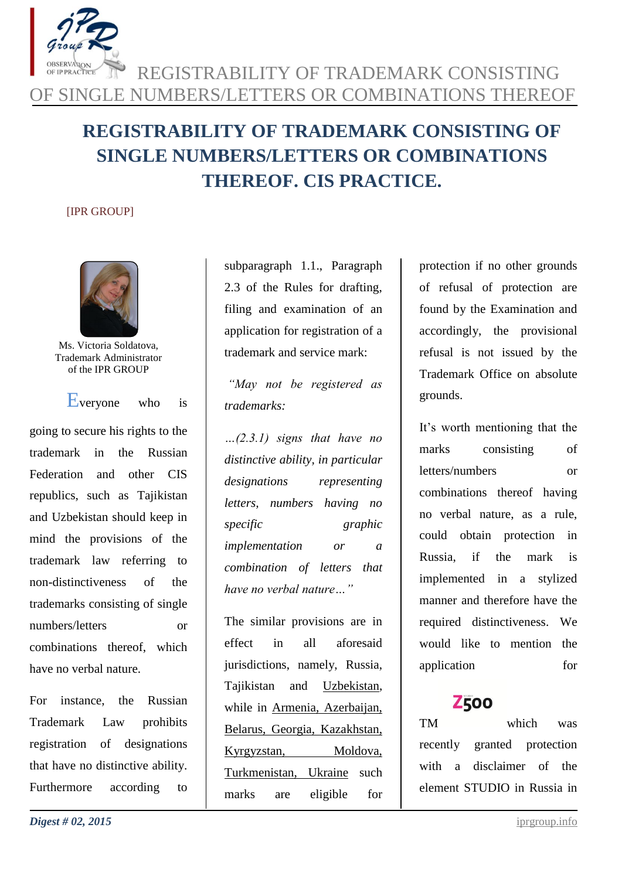

# **REGISTRABILITY OF TRADEMARK CONSISTING OF SINGLE NUMBERS/LETTERS OR COMBINATIONS THEREOF. CIS PRACTICE.**

#### [IPR GROUP]



Ms. Victoria Soldatova, Trademark Administrator of the IPR GROUP

Everyone who is

going to secure his rights to the trademark in the Russian Federation and other CIS republics, such as Tajikistan and Uzbekistan should keep in mind the provisions of the trademark law referring to non-distinctiveness of the trademarks consisting of single numbers/letters or combinations thereof, which have no verbal nature.

For instance, the Russian Trademark Law prohibits registration of designations that have no distinctive ability. Furthermore according to subparagraph 1.1., Paragraph 2.3 of the Rules for drafting, filing and examination of an application for registration of a trademark and service mark:

*"May not be registered as trademarks:*

*…(2.3.1) signs that have no distinctive ability, in particular designations representing letters, numbers having no specific graphic implementation or a combination of letters that have no verbal nature…"*

The similar provisions are in effect in all aforesaid jurisdictions, namely, Russia, Tajikistan and Uzbekistan, while in Armenia, Azerbaijan, Belarus, Georgia, Kazakhstan, Kyrgyzstan, Moldova, Turkmenistan, Ukraine such marks are eligible for

protection if no other grounds of refusal of protection are found by the Examination and accordingly, the provisional refusal is not issued by the Trademark Office on absolute grounds.

It's worth mentioning that the marks consisting of letters/numbers or combinations thereof having no verbal nature, as a rule, could obtain protection in Russia, if the mark is implemented in a stylized manner and therefore have the required distinctiveness. We would like to mention the application for

## **Z500**

TM which was recently granted protection with a disclaimer of the element STUDIO in Russia in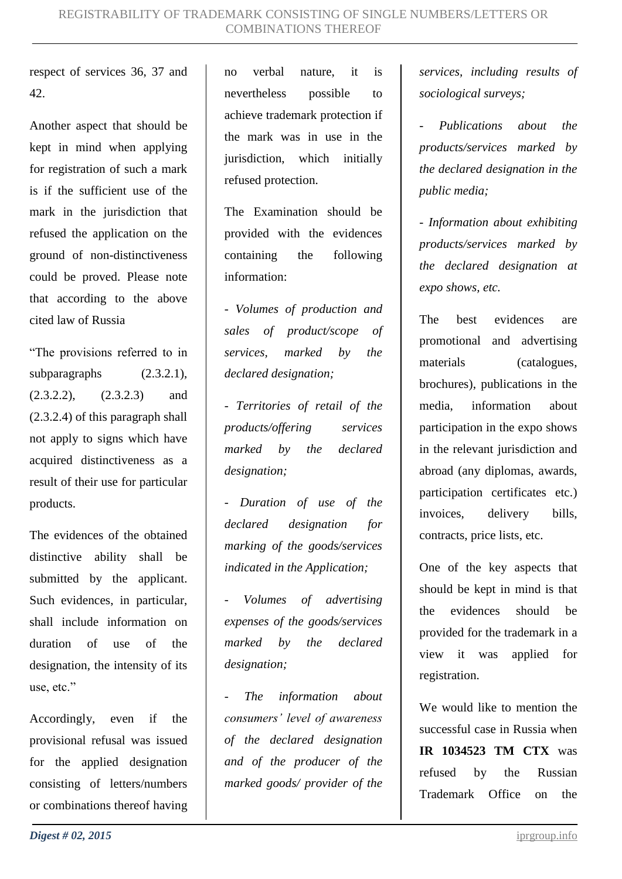respect of services 36, 37 and 42.

Another aspect that should be kept in mind when applying for registration of such a mark is if the sufficient use of the mark in the jurisdiction that refused the application on the ground of non-distinctiveness could be proved. Please note that according to the above cited law of Russia

"The provisions referred to in subparagraphs (2.3.2.1),  $(2.3.2.2)$ ,  $(2.3.2.3)$  and (2.3.2.4) of this paragraph shall not apply to signs which have acquired distinctiveness as a result of their use for particular products.

The evidences of the obtained distinctive ability shall be submitted by the applicant. Such evidences, in particular, shall include information on duration of use of the designation, the intensity of its use, etc."

Accordingly, even if the provisional refusal was issued for the applied designation consisting of letters/numbers or combinations thereof having no verbal nature, it is nevertheless possible to achieve trademark protection if the mark was in use in the jurisdiction, which initially refused protection.

The Examination should be provided with the evidences containing the following information:

*- Volumes of production and sales of product/scope of services, marked by the declared designation;*

*- Territories of retail of the products/offering services marked by the declared designation;*

*- Duration of use of the declared designation for marking of the goods/services indicated in the Application;*

*- Volumes of advertising expenses of the goods/services marked by the declared designation;*

*- The information about consumers' level of awareness of the declared designation and of the producer of the marked goods/ provider of the*  *services, including results of sociological surveys;*

*- Publications about the products/services marked by the declared designation in the public media;*

*- Information about exhibiting products/services marked by the declared designation at expo shows, etc.*

The best evidences are promotional and advertising materials (catalogues, brochures), publications in the media, information about participation in the expo shows in the relevant jurisdiction and abroad (any diplomas, awards, participation certificates etc.) invoices, delivery bills, contracts, price lists, etc.

One of the key aspects that should be kept in mind is that the evidences should be provided for the trademark in a view it was applied for registration.

We would like to mention the successful case in Russia when **IR 1034523 TM CTX** was refused by the Russian Trademark Office on the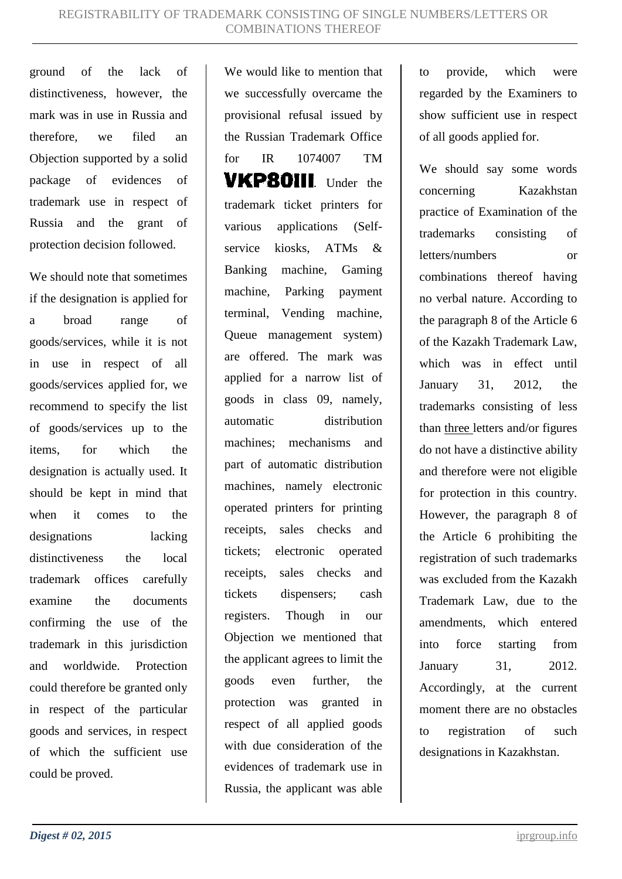ground of the lack of distinctiveness, however, the mark was in use in Russia and therefore, we filed an Objection supported by a solid package of evidences of trademark use in respect of Russia and the grant of protection decision followed.

We should note that sometimes if the designation is applied for a broad range of goods/services, while it is not in use in respect of all goods/services applied for, we recommend to specify the list of goods/services up to the items, for which the designation is actually used. It should be kept in mind that when it comes to the designations lacking distinctiveness the local trademark offices carefully examine the documents confirming the use of the trademark in this jurisdiction and worldwide. Protection could therefore be granted only in respect of the particular goods and services, in respect of which the sufficient use could be proved.

We would like to mention that we successfully overcame the provisional refusal issued by the Russian Trademark Office for IR 1074007 TM **VKP80III** Under the trademark ticket printers for various applications (Selfservice kiosks, ATMs & Banking machine, Gaming machine, Parking payment terminal, Vending machine, Queue management system) are offered. The mark was applied for a narrow list of goods in class 09, namely, automatic distribution machines; mechanisms and part of automatic distribution machines, namely electronic operated printers for printing receipts, sales checks and tickets; electronic operated receipts, sales checks and tickets dispensers; cash registers. Though in our Objection we mentioned that the applicant agrees to limit the goods even further, the protection was granted in respect of all applied goods with due consideration of the evidences of trademark use in Russia, the applicant was able to provide, which were regarded by the Examiners to show sufficient use in respect of all goods applied for.

We should say some words concerning Kazakhstan practice of Examination of the trademarks consisting of letters/numbers or combinations thereof having no verbal nature. According to the paragraph 8 of the Article 6 of the Kazakh Trademark Law, which was in effect until January 31, 2012, the trademarks consisting of less than three letters and/or figures do not have a distinctive ability and therefore were not eligible for protection in this country. However, the paragraph 8 of the Article 6 prohibiting the registration of such trademarks was excluded from the Kazakh Trademark Law, due to the amendments, which entered into force starting from January 31, 2012. Accordingly, at the current moment there are no obstacles to registration of such designations in Kazakhstan.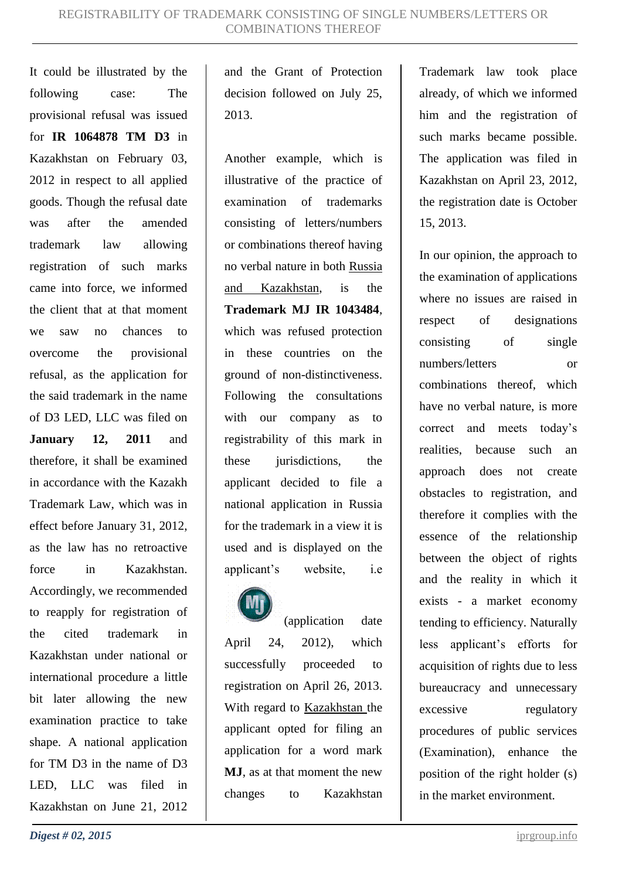It could be illustrated by the following case: The provisional refusal was issued for **IR 1064878 TM D3** in Kazakhstan on February 03, 2012 in respect to all applied goods. Though the refusal date was after the amended trademark law allowing registration of such marks came into force, we informed the client that at that moment we saw no chances to overcome the provisional refusal, as the application for the said trademark in the name of D3 LED, LLC was filed on **January 12, 2011** and therefore, it shall be examined in accordance with the Kazakh Trademark Law, which was in effect before January 31, 2012, as the law has no retroactive force in Kazakhstan. Accordingly, we recommended to reapply for registration of the cited trademark in Kazakhstan under national or international procedure a little bit later allowing the new examination practice to take shape. A national application for TM D3 in the name of D3 LED, LLC was filed in Kazakhstan on June 21, 2012

and the Grant of Protection decision followed on July 25, 2013.

Another example, which is illustrative of the practice of examination of trademarks consisting of letters/numbers or combinations thereof having no verbal nature in both Russia and Kazakhstan, is the **Trademark MJ IR 1043484**, which was refused protection in these countries on the ground of non-distinctiveness. Following the consultations with our company as to registrability of this mark in these jurisdictions, the applicant decided to file a national application in Russia for the trademark in a view it is used and is displayed on the applicant's website, i.e



(application date April 24, 2012), which successfully proceeded to registration on April 26, 2013. With regard to Kazakhstan the applicant opted for filing an application for a word mark **MJ**, as at that moment the new changes to Kazakhstan

Trademark law took place already, of which we informed him and the registration of such marks became possible. The application was filed in Kazakhstan on April 23, 2012, the registration date is October 15, 2013.

In our opinion, the approach to the examination of applications where no issues are raised in respect of designations consisting of single numbers/letters or combinations thereof, which have no verbal nature, is more correct and meets today's realities, because such an approach does not create obstacles to registration, and therefore it complies with the essence of the relationship between the object of rights and the reality in which it exists - a market economy tending to efficiency. Naturally less applicant's efforts for acquisition of rights due to less bureaucracy and unnecessary excessive regulatory procedures of public services (Examination), enhance the position of the right holder (s) in the market environment.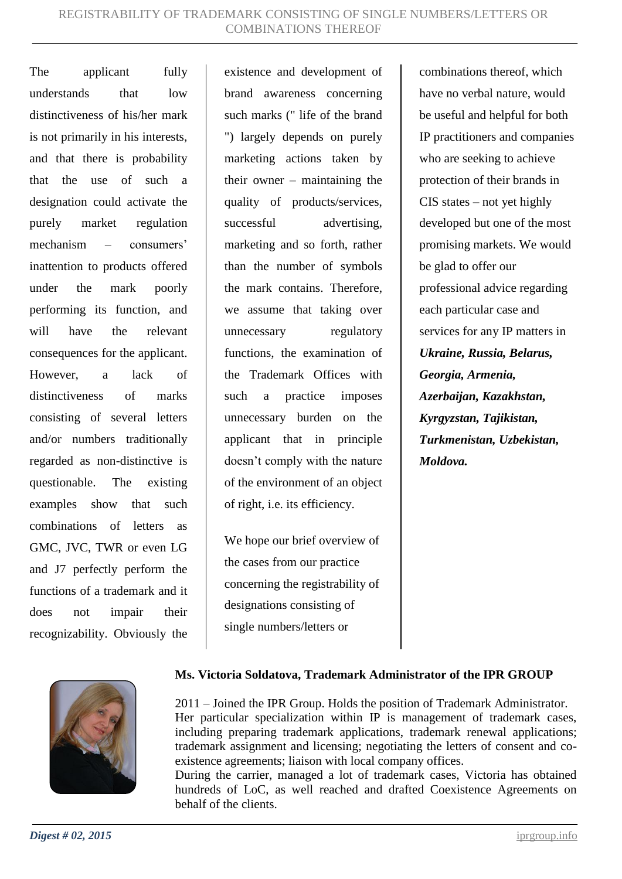The applicant fully understands that low distinctiveness of his/her mark is not primarily in his interests, and that there is probability that the use of such a designation could activate the purely market regulation mechanism – consumers' inattention to products offered under the mark poorly performing its function, and will have the relevant consequences for the applicant. However, a lack of distinctiveness of marks consisting of several letters and/or numbers traditionally regarded as non-distinctive is questionable. The existing examples show that such combinations of letters as GMC, JVC, TWR or even LG and J7 perfectly perform the functions of a trademark and it does not impair their recognizability. Obviously the existence and development of brand awareness concerning such marks (" life of the brand ") largely depends on purely marketing actions taken by their owner – maintaining the quality of products/services, successful advertising. marketing and so forth, rather than the number of symbols the mark contains. Therefore, we assume that taking over unnecessary regulatory functions, the examination of the Trademark Offices with such a practice imposes unnecessary burden on the applicant that in principle doesn't comply with the nature of the environment of an object of right, i.e. its efficiency.

We hope our brief overview of the cases from our practice concerning the registrability of designations consisting of single numbers/letters or

combinations thereof, which have no verbal nature, would be useful and helpful for both IP practitioners and companies who are seeking to achieve protection of their brands in CIS states – not yet highly developed but one of the most promising markets. We would be glad to offer our professional advice regarding each particular case and services for any IP matters in *Ukraine, Russia, Belarus, Georgia, Armenia, Azerbaijan, Kazakhstan, Kyrgyzstan, Tajikistan, Turkmenistan, Uzbekistan, Moldova.*



### **Ms. Victoria Soldatova, Trademark Administrator of the IPR GROUP**

2011 – Joined the IPR Group. Holds the position of Trademark Administrator. Her particular specialization within IP is management of trademark cases, including preparing trademark applications, trademark renewal applications; trademark assignment and licensing; negotiating the letters of consent and coexistence agreements; liaison with local company offices.

During the carrier, managed a lot of trademark cases, Victoria has obtained hundreds of LoC, as well reached and drafted Coexistence Agreements on behalf of the clients.